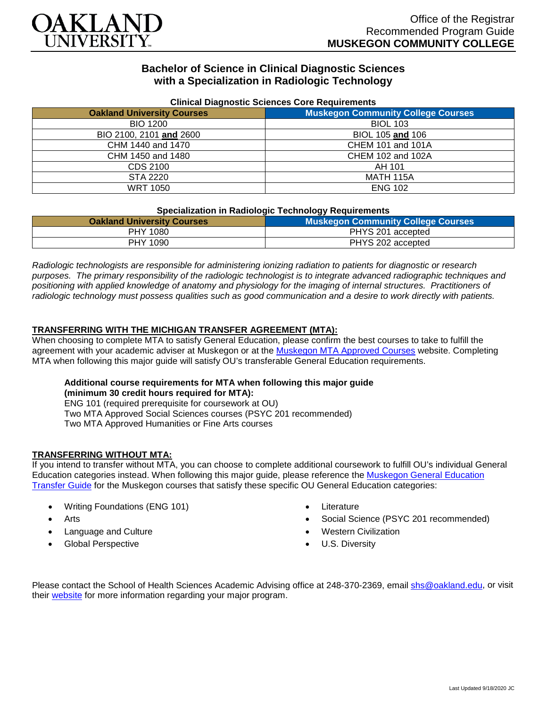

# **Bachelor of Science in Clinical Diagnostic Sciences with a Specialization in Radiologic Technology**

| <b>Uningle Diagnostic Ociences Core Requirements</b> |                                           |
|------------------------------------------------------|-------------------------------------------|
| <b>Oakland University Courses</b>                    | <b>Muskegon Community College Courses</b> |
| <b>BIO 1200</b>                                      | <b>BIOL 103</b>                           |
| BIO 2100, 2101 and 2600                              | BIOL 105 and 106                          |
| CHM 1440 and 1470                                    | <b>CHEM 101 and 101A</b>                  |
| CHM 1450 and 1480                                    | CHEM 102 and 102A                         |
| CDS 2100                                             | AH 101                                    |
| STA 2220                                             | <b>MATH 115A</b>                          |
| <b>WRT 1050</b>                                      | <b>ENG 102</b>                            |

#### **Clinical Diagnostic Sciences Core Requirements**

#### **Specialization in Radiologic Technology Requirements**

| <b>Oakland University Courses</b> | <b>Muskegon Community College Courses</b> |
|-----------------------------------|-------------------------------------------|
| <b>PHY 1080</b>                   | PHYS 201 accepted                         |
| PHY 1090                          | PHYS 202 accepted                         |

*Radiologic technologists are responsible for administering ionizing radiation to patients for diagnostic or research purposes. The primary responsibility of the radiologic technologist is to integrate advanced radiographic techniques and positioning with applied knowledge of anatomy and physiology for the imaging of internal structures. Practitioners of radiologic technology must possess qualities such as good communication and a desire to work directly with patients.*

### **TRANSFERRING WITH THE MICHIGAN TRANSFER AGREEMENT (MTA):**

When choosing to complete MTA to satisfy General Education, please confirm the best courses to take to fulfill the agreement with your academic adviser at Muskegon or at the [Muskegon MTA Approved Courses](https://www.muskegoncc.edu/transferservices/michigan-transfer-agreement/) website. Completing MTA when following this major guide will satisfy OU's transferable General Education requirements.

# **Additional course requirements for MTA when following this major guide**

**(minimum 30 credit hours required for MTA):** ENG 101 (required prerequisite for coursework at OU) Two MTA Approved Social Sciences courses (PSYC 201 recommended) Two MTA Approved Humanities or Fine Arts courses

## **TRANSFERRING WITHOUT MTA:**

If you intend to transfer without MTA, you can choose to complete additional coursework to fulfill OU's individual General Education categories instead. When following this major guide, please reference the [Muskegon General Education](https://www.oakland.edu/Assets/Oakland/program-guides/muskegon-community-college/university-general-education-requirements/Muskegon%20Gen%20Ed.pdf)  [Transfer Guide](https://www.oakland.edu/Assets/Oakland/program-guides/muskegon-community-college/university-general-education-requirements/Muskegon%20Gen%20Ed.pdf) for the Muskegon courses that satisfy these specific OU General Education categories:

- Writing Foundations (ENG 101)
- Arts
- Language and Culture
- Global Perspective
- **Literature**
- Social Science (PSYC 201 recommended)
- Western Civilization
- U.S. Diversity

Please contact the School of Health Sciences Academic Advising office at 248-370-2369, email [shs@oakland.edu,](mailto:shs@oakland.edu) or visit their [website](http://www.oakland.edu/shs/advising) for more information regarding your major program.